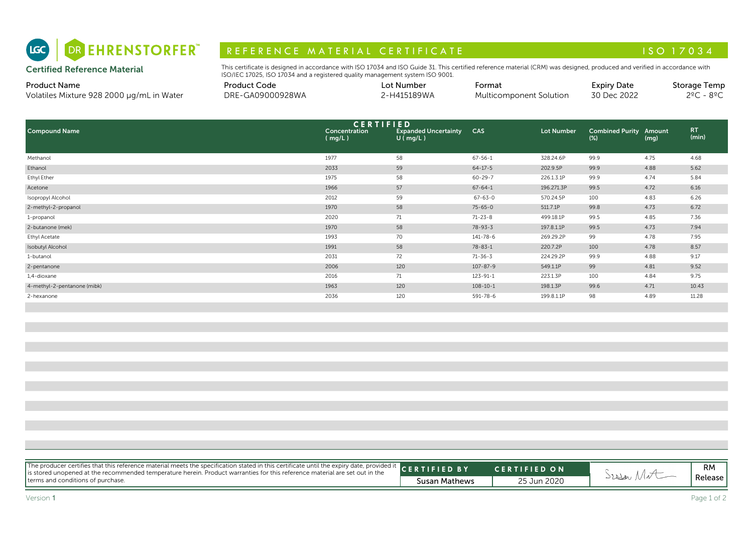

# R E F E R E N C E MAT E RIAL CERTIFICATE A LA CONSTRUITION AND LA CONSTRUCTION AND LA CONSTRUCTION AND LA CONSTR

#### Product Name

|       | Product Code                  | Lot Number       | Format                      | Expiry Date                            | Storage<br>Temp |
|-------|-------------------------------|------------------|-----------------------------|----------------------------------------|-----------------|
| Water | E-GA09000928WA<br>NDE.<br>レハレ | 5189WA<br>- H4 " | ulticomponent i<br>Solution | $\sim$ $\sim$ $\sim$<br>30 Dec<br>2022 | ຂ≗∩<br>າ∘∩      |

| <b>Certified Reference Material</b>                              | This certificate is designed in accordance with ISO 17034 and ISO Guide 31. This certified reference material (CRM) was designed, produced and verified in accordance with<br>ISO/IEC 17025, ISO 17034 and a registered quality management system ISO 9001. |                         |                                                                   |                                   |                   |                                   |                |                                     |
|------------------------------------------------------------------|-------------------------------------------------------------------------------------------------------------------------------------------------------------------------------------------------------------------------------------------------------------|-------------------------|-------------------------------------------------------------------|-----------------------------------|-------------------|-----------------------------------|----------------|-------------------------------------|
| <b>Product Name</b><br>Volatiles Mixture 928 2000 µg/mL in Water | <b>Product Code</b><br>DRE-GA09000928WA                                                                                                                                                                                                                     |                         | Lot Number<br>2-H415189WA                                         | Format<br>Multicomponent Solution |                   | <b>Expiry Date</b><br>30 Dec 2022 |                | Storage Temp<br>$2^{\circ}$ C - 8°C |
| <b>Compound Name</b>                                             |                                                                                                                                                                                                                                                             | Concentration<br>(mq/L) | <b>CERTIFIED</b><br><b>Expanded Uncertainty</b><br>$U$ ( $mq/L$ ) | CAS                               | <b>Lot Number</b> | <b>Combined Purity</b><br>$(\%)$  | Amount<br>(mg) | RT.<br>(min)                        |
| Methanol                                                         |                                                                                                                                                                                                                                                             | 1977                    | 58                                                                | $67 - 56 - 1$                     | 328.24.6P         | 99.9                              | 4.75           | 4.68                                |
| Ethanol                                                          |                                                                                                                                                                                                                                                             | 2033                    | 59                                                                | $64 - 17 - 5$                     | 202.9.5P          | 99.9                              | 4.88           | 5.62                                |
| Ethyl Ether                                                      |                                                                                                                                                                                                                                                             | 1975                    | 58                                                                | $60 - 29 - 7$                     | 226.1.3.1P        | 99.9                              | 4.74           | 5.84                                |
| Acetone                                                          |                                                                                                                                                                                                                                                             | 1966                    | 57                                                                | $67 - 64 - 1$                     | 196.271.3P        | 99.5                              | 4.72           | 6.16                                |
| Isopropyl Alcohol                                                |                                                                                                                                                                                                                                                             | 2012                    | 59                                                                | $67 - 63 - 0$                     | 570.24.5P         | 100                               | 4.83           | 6.26                                |
| 2-methyl-2-propanol                                              |                                                                                                                                                                                                                                                             | 1970                    | 58                                                                | $75 - 65 - 0$                     | 511.7.1P          | 99.8                              | 4.73           | 6.72                                |
| 1-propanol                                                       |                                                                                                                                                                                                                                                             | 2020                    | 71                                                                | $71 - 23 - 8$                     | 499.18.1P         | 99.5                              | 4.85           | 7.36                                |
| 2-butanone (mek)                                                 |                                                                                                                                                                                                                                                             | 1970                    | 58                                                                | $78 - 93 - 3$                     | 197.8.1.1P        | 99.5                              | 4.73           | 7.94                                |
| Ethyl Acetate                                                    |                                                                                                                                                                                                                                                             | 1993                    | 70                                                                | $141 - 78 - 6$                    | 269.29.2P         | 99                                | 4.78           | 7.95                                |
| Isobutyl Alcohol                                                 |                                                                                                                                                                                                                                                             | 1991                    | 58                                                                | $78 - 83 - 1$                     | 220.7.2P          | 100                               | 4.78           | 8.57                                |
| 1-butanol                                                        |                                                                                                                                                                                                                                                             | 2031                    | 72                                                                | $71 - 36 - 3$                     | 224.29.2P         | 99.9                              | 4.88           | 9.17                                |
| 2-pentanone                                                      |                                                                                                                                                                                                                                                             | 2006                    | 120                                                               | $107 - 87 - 9$                    | 549.1.1P          | 99                                | 4.81           | 9.52                                |
| 1,4-dioxane                                                      |                                                                                                                                                                                                                                                             | 2016                    | 71                                                                | $123 - 91 - 1$                    | 223.1.3P          | 100                               | 4.84           | 9.75                                |
| 4-methyl-2-pentanone (mibk)                                      |                                                                                                                                                                                                                                                             | 1963                    | 120                                                               | $108 - 10 - 1$                    | 198.1.3P          | 99.6                              | 4.71           | 10.43                               |
| 2-hexanone                                                       |                                                                                                                                                                                                                                                             | 2036                    | 120                                                               | 591-78-6                          | 199.8.1.1P        | 98                                | 4.89           | 11.28                               |

| The producer certifies that this reference material meets the specification stated in this certificate until the expiry date, provided it CERTIFIED BY<br>terms and conditions of purchase. | Susan Mathews | <b>CERTIFIED ON</b><br>25 Jun 2020 | Sessar Mot | RM<br>Release |
|---------------------------------------------------------------------------------------------------------------------------------------------------------------------------------------------|---------------|------------------------------------|------------|---------------|